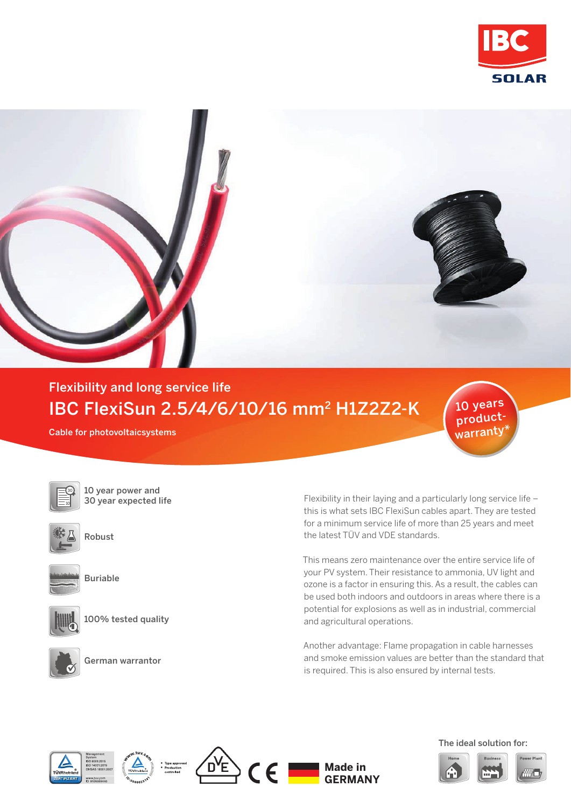



## Flexibility and long service life IBC FlexiSun 2.5/4/6/10/16 mm2 H1Z2Z2-K

Cable for photovoltaicsystems



10 year power and 30 year expected life



Robust



Buriable



100% tested quality



German warrantor

Flexibility in their laying and a particularly long service life – this is what sets IBC FlexiSun cables apart. They are tested for a minimum service life of more than 25 years and meet the latest TÜV and VDE standards.

This means zero maintenance over the entire service life of your PV system. Their resistance to ammonia, UV light and ozone is a factor in ensuring this. As a result, the cables can be used both indoors and outdoors in areas where there is a potential for explosions as well as in industrial, commercial and agricultural operations.

Another advantage: Flame propagation in cable harnesses and smoke emission values are better than the standard that is required. This is also ensured by internal tests.









## The ideal solution for:

10 years productwarranty